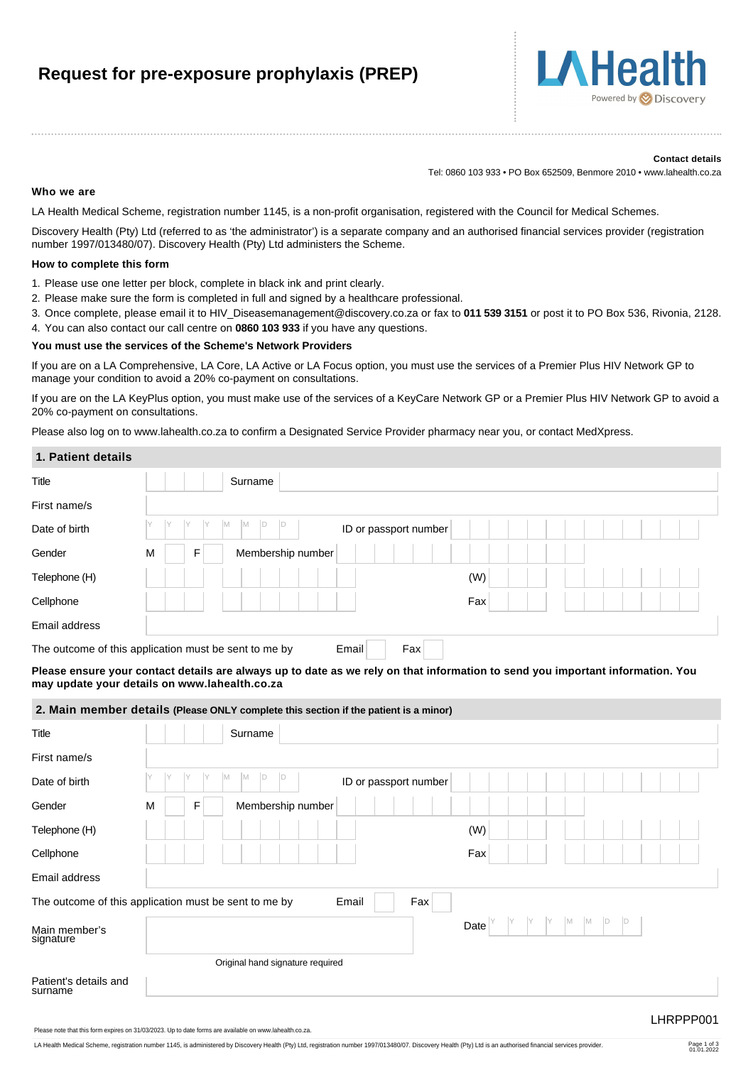# **Request for pre-exposure prophylaxis (PREP)**



#### **Contact details**

Tel: 0860 103 933 • PO Box 652509, Benmore 2010 • www.lahealth.co.za

#### **Who we are**

LA Health Medical Scheme, registration number 1145, is a non-profit organisation, registered with the Council for Medical Schemes.

Discovery Health (Pty) Ltd (referred to as 'the administrator') is a separate company and an authorised financial services provider (registration number 1997/013480/07). Discovery Health (Pty) Ltd administers the Scheme.

#### **How to complete this form**

- 1. Please use one letter per block, complete in black ink and print clearly.
- 2. Please make sure the form is completed in full and signed by a healthcare professional.
- 3. Once complete, please email it to [HIV\\_Diseasemanagement@discovery.co.za](mailto:HIV_Diseasemanagement@discovery.co.za) or fax to **011 539 3151** or post it to PO Box 536, Rivonia, 2128.
- 4. You can also contact our call centre on **0860 103 933** if you have any questions.

#### **You must use the services of the Scheme's Network Providers**

If you are on a LA Comprehensive, LA Core, LA Active or LA Focus option, you must use the services of a Premier Plus HIV Network GP to manage your condition to avoid a 20% co-payment on consultations.

If you are on the LA KeyPlus option, you must make use of the services of a KeyCare Network GP or a Premier Plus HIV Network GP to avoid a 20% co-payment on consultations.

Please also log on to www.lahealth.co.za to confirm a Designated Service Provider pharmacy near you, or contact MedXpress.

#### **1. Patient details**

| Title         | Surname                                                               |     |
|---------------|-----------------------------------------------------------------------|-----|
| First name/s  |                                                                       |     |
| Date of birth | IM.<br><b>M</b><br>$\mathsf{D}$<br>ID or passport number              |     |
| Gender        | Membership number<br>M<br>F                                           |     |
| Telephone (H) |                                                                       | (W) |
| Cellphone     |                                                                       | Fax |
| Email address |                                                                       |     |
|               | Fax<br>The outcome of this application must be sent to me by<br>Email |     |

**Please ensure your contact details are always up to date as we rely on that information to send you important information. You may update your details on www.lahealth.co.za**

#### **2. Main member details (Please ONLY complete this section if the patient is a minor)**

| Title                            | Surname                                                               |  |
|----------------------------------|-----------------------------------------------------------------------|--|
| First name/s                     |                                                                       |  |
| Date of birth                    | M<br>M<br>Y<br>D<br>ID<br>ID or passport number                       |  |
| Gender                           | Membership number<br>M<br>F                                           |  |
| Telephone (H)                    | (W)                                                                   |  |
| Cellphone                        | Fax                                                                   |  |
| Email address                    |                                                                       |  |
|                                  | The outcome of this application must be sent to me by<br>Email<br>Fax |  |
| Main member's<br>signature       | M<br>M<br>$\mathsf{D}$<br>ID<br>Date                                  |  |
|                                  | Original hand signature required                                      |  |
| Patient's details and<br>surname |                                                                       |  |

Please note that this form expires on 31/03/2023. Up to date forms are available on www.lahealth.co.za.

LA Health Medical Scheme, registration number 1145, is administered by Discovery Health (Pty) Ltd, registration number 1997/013480/07. Discovery Health (Pty) Ltd is an authorised financial services provider.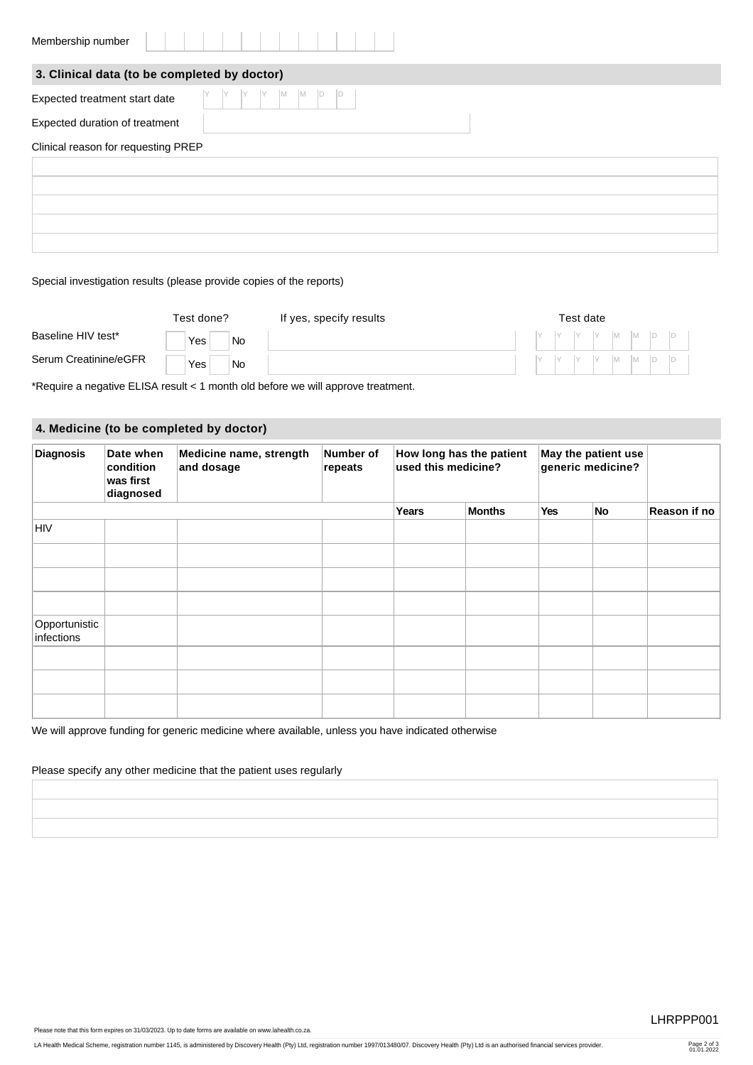| Membership number                            |                                                         |
|----------------------------------------------|---------------------------------------------------------|
| 3. Clinical data (to be completed by doctor) |                                                         |
| Expected treatment start date                | $\begin{bmatrix} Y &  M - M \end{bmatrix}$<br>$\vert$ D |
| Expected duration of treatment               |                                                         |
| Clinical reason for requesting PREP          |                                                         |
|                                              |                                                         |
|                                              |                                                         |
|                                              |                                                         |
|                                              |                                                         |
|                                              |                                                         |

#### Special investigation results (please provide copies of the reports)

|                       | Test done? |           | If yes, specify results | Test date |  |  |  |  |  |                                                                                                                                                                              |
|-----------------------|------------|-----------|-------------------------|-----------|--|--|--|--|--|------------------------------------------------------------------------------------------------------------------------------------------------------------------------------|
| Baseline HIV test*    | Yes        | No        |                         |           |  |  |  |  |  | $\begin{array}{c c c c c c c c c} \hline \end{array}$ $\begin{array}{c c c c c} \hline \text{Y} & \text{Y} & \text{M} & \text{M} & \text{D} & \text{D} \ \hline \end{array}$ |
| Serum Creatinine/eGFR | Yes        | <b>No</b> |                         |           |  |  |  |  |  | $\begin{bmatrix} Y & Y & Y & Y & M & M & D & D \end{bmatrix}$                                                                                                                |

\*Require a negative ELISA result < 1 month old before we will approve treatment.

## **4. Medicine (to be completed by doctor)**

| <b>Diagnosis</b>            | Date when<br>condition<br>was first<br>diagnosed | Medicine name, strength<br>and dosage | Number of<br>repeats | How long has the patient<br>used this medicine? |               | May the patient use<br>generic medicine? |    |              |
|-----------------------------|--------------------------------------------------|---------------------------------------|----------------------|-------------------------------------------------|---------------|------------------------------------------|----|--------------|
|                             |                                                  |                                       |                      | Years                                           | <b>Months</b> | Yes                                      | No | Reason if no |
| <b>HIV</b>                  |                                                  |                                       |                      |                                                 |               |                                          |    |              |
|                             |                                                  |                                       |                      |                                                 |               |                                          |    |              |
|                             |                                                  |                                       |                      |                                                 |               |                                          |    |              |
|                             |                                                  |                                       |                      |                                                 |               |                                          |    |              |
| Opportunistic<br>infections |                                                  |                                       |                      |                                                 |               |                                          |    |              |
|                             |                                                  |                                       |                      |                                                 |               |                                          |    |              |
|                             |                                                  |                                       |                      |                                                 |               |                                          |    |              |
|                             |                                                  |                                       |                      |                                                 |               |                                          |    |              |

We will approve funding for generic medicine where available, unless you have indicated otherwise

### Please specify any other medicine that the patient uses regularly